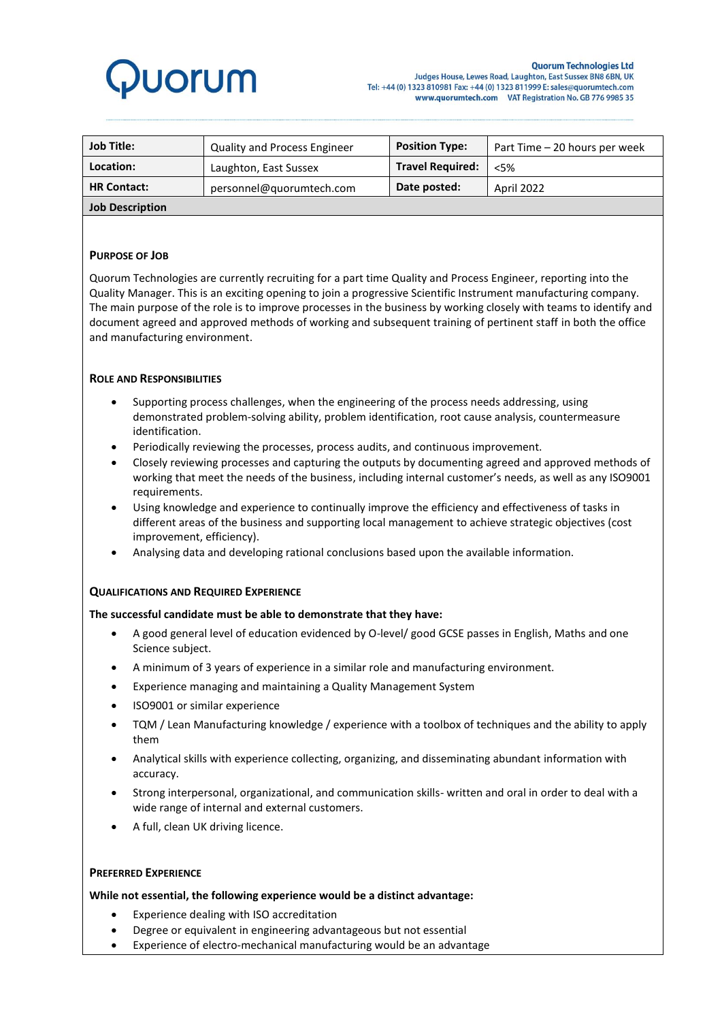# **Juorum**

| <b>Job Title:</b>      | <b>Quality and Process Engineer</b> | <b>Position Type:</b>   | Part Time – 20 hours per week |
|------------------------|-------------------------------------|-------------------------|-------------------------------|
| Location:              | Laughton, East Sussex               | <b>Travel Required:</b> | < 5%                          |
| <b>HR Contact:</b>     | personnel@guorumtech.com            | Date posted:            | April 2022                    |
| <b>Job Description</b> |                                     |                         |                               |

#### **PURPOSE OF JOB**

Quorum Technologies are currently recruiting for a part time Quality and Process Engineer, reporting into the Quality Manager. This is an exciting opening to join a progressive Scientific Instrument manufacturing company. The main purpose of the role is to improve processes in the business by working closely with teams to identify and document agreed and approved methods of working and subsequent training of pertinent staff in both the office and manufacturing environment.

#### **ROLE AND RESPONSIBILITIES**

- Supporting process challenges, when the engineering of the process needs addressing, using demonstrated problem-solving ability, problem identification, root cause analysis, countermeasure identification.
- Periodically reviewing the processes, process audits, and continuous improvement.
- Closely reviewing processes and capturing the outputs by documenting agreed and approved methods of working that meet the needs of the business, including internal customer's needs, as well as any ISO9001 requirements.
- Using knowledge and experience to continually improve the efficiency and effectiveness of tasks in different areas of the business and supporting local management to achieve strategic objectives (cost improvement, efficiency).
- Analysing data and developing rational conclusions based upon the available information.

#### **QUALIFICATIONS AND REQUIRED EXPERIENCE**

#### **The successful candidate must be able to demonstrate that they have:**

- A good general level of education evidenced by O-level/ good GCSE passes in English, Maths and one Science subject.
- A minimum of 3 years of experience in a similar role and manufacturing environment.
- Experience managing and maintaining a Quality Management System
- ISO9001 or similar experience
- TQM / Lean Manufacturing knowledge / experience with a toolbox of techniques and the ability to apply them
- Analytical skills with experience collecting, organizing, and disseminating abundant information with accuracy.
- Strong interpersonal, organizational, and communication skills- written and oral in order to deal with a wide range of internal and external customers.
- A full, clean UK driving licence.

#### **PREFERRED EXPERIENCE**

#### **While not essential, the following experience would be a distinct advantage:**

- Experience dealing with ISO accreditation
- Degree or equivalent in engineering advantageous but not essential
- Experience of electro-mechanical manufacturing would be an advantage